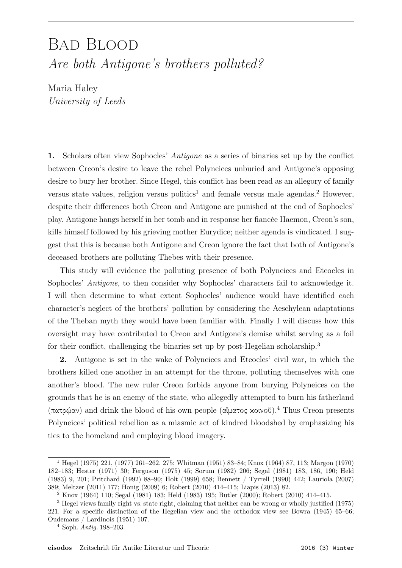## Bad Blood Are both Antigone's brothers polluted?

Maria Haley University of Leeds

1. Scholars often view Sophocles' Antigone as a series of binaries set up by the conflict between Creon's desire to leave the rebel Polyneices unburied and Antigone's opposing desire to bury her brother. Since Hegel, this conflict has been read as an allegory of family versus state values, religion versus politics<sup>1</sup> and female versus male agendas.<sup>2</sup> However, despite their differences both Creon and Antigone are punished at the end of Sophocles' play. Antigone hangs herself in her tomb and in response her fiancée Haemon, Creon's son, kills himself followed by his grieving mother Eurydice; neither agenda is vindicated. I suggest that this is because both Antigone and Creon ignore the fact that both of Antigone's deceased brothers are polluting Thebes with their presence.

This study will evidence the polluting presence of both Polyneices and Eteocles in Sophocles' *Antigone*, to then consider why Sophocles' characters fail to acknowledge it. I will then determine to what extent Sophocles' audience would have identified each character's neglect of the brothers' pollution by considering the Aeschylean adaptations of the Theban myth they would have been familiar with. Finally I will discuss how this oversight may have contributed to Creon and Antigone's demise whilst serving as a foil for their conflict, challenging the binaries set up by post-Hegelian scholarship.3

2. Antigone is set in the wake of Polyneices and Eteocles' civil war, in which the brothers killed one another in an attempt for the throne, polluting themselves with one another's blood. The new ruler Creon forbids anyone from burying Polyneices on the grounds that he is an enemy of the state, who allegedly attempted to burn his fatherland (πατρῴαν) and drink the blood of his own people (αἵματος κοινοῦ).4 Thus Creon presents Polyneices' political rebellion as a miasmic act of kindred bloodshed by emphasizing his ties to the homeland and employing blood imagery.

<sup>1</sup> Hegel (1975) 221, (1977) 261–262. 275; Whitman (1951) 83–84; Knox (1964) 87, 113; Margon (1970) 182–183; Hester (1971) 30; Ferguson (1975) 45; Sorum (1982) 206; Segal (1981) 183, 186, 190; Held (1983) 9, 201; Pritchard (1992) 88–90; Holt (1999) 658; Bennett / Tyrrell (1990) 442; Lauriola (2007) 389; Meltzer (2011) 177; Honig (2009) 6; Robert (2010) 414–415; Liapis (2013) 82.

<sup>2</sup> Knox (1964) 110; Segal (1981) 183; Held (1983) 195; Butler (2000); Robert (2010) 414–415.

<sup>3</sup> Hegel views family right vs. state right, claiming that neither can be wrong or wholly justified (1975) 221. For a specific distinction of the Hegelian view and the orthodox view see Bowra (1945) 65–66; Oudemans / Lardinois (1951) 107.

 $4$  Soph. *Antiq.* 198–203.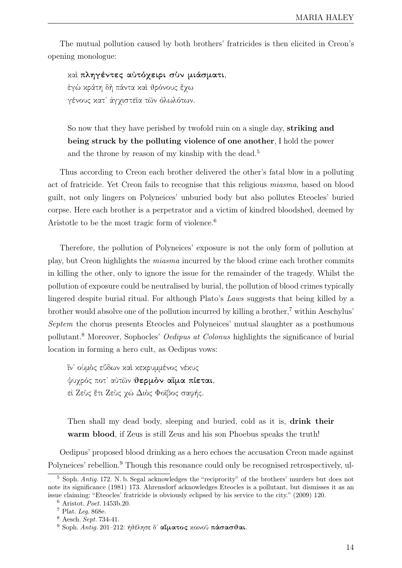The mutual pollution caused by both brothers' fratricides is then elicited in Creon's opening monologue:

καὶ πληγέντες αὐτόχειρι σὺν μιάσματι, ἐγὼ κράτη δὴ πάντα καὶ θρόνους ἔχω γένους κατ᾿ ἀγχιστεῖα τῶν ὀλωλότων.

So now that they have perished by twofold ruin on a single day, striking and being struck by the polluting violence of one another, I hold the power and the throne by reason of my kinship with the dead.<sup>5</sup>

Thus according to Creon each brother delivered the other's fatal blow in a polluting act of fratricide. Yet Creon fails to recognise that this religious miasma, based on blood guilt, not only lingers on Polyneices' unburied body but also pollutes Eteocles' buried corpse. Here each brother is a perpetrator and a victim of kindred bloodshed, deemed by Aristotle to be the most tragic form of violence.<sup>6</sup>

Therefore, the pollution of Polyneices' exposure is not the only form of pollution at play, but Creon highlights the miasma incurred by the blood crime each brother commits in killing the other, only to ignore the issue for the remainder of the tragedy. Whilst the pollution of exposure could be neutralised by burial, the pollution of blood crimes typically lingered despite burial ritual. For although Plato's Laws suggests that being killed by a brother would absolve one of the pollution incurred by killing a brother,7 within Aeschylus' Septem the chorus presents Eteocles and Polyneices' mutual slaughter as a posthumous pollutant.8 Moreover, Sophocles' Oedipus at Colonus highlights the significance of burial location in forming a hero cult, as Oedipus vows:

ἵν᾿ οὑμὸς εὕδων καὶ κεκρυμμένος νέκυς ψυχρός ποτ᾿ αὐτῶν θερμὸν αἷμα πίεται, εί Ζεύς έτι Ζεύς χώ Διός Φοΐβος σαφής.

Then shall my dead body, sleeping and buried, cold as it is, **drink their** warm blood, if Zeus is still Zeus and his son Phoebus speaks the truth!

Oedipus' proposed blood drinking as a hero echoes the accusation Creon made against Polyneices' rebellion.<sup>9</sup> Though this resonance could only be recognised retrospectively, ul-

<sup>5</sup> Soph. Antig. 172. N. b. Segal acknowledges the "reciprocity" of the brothers' murders but does not note its significance (1981) 173. Ahrensdorf acknowledges Eteocles is a pollutant, but dismisses it as an issue claiming: "Eteocles' fratricide is obviously eclipsed by his service to the city." (2009) 120.

<sup>6</sup> Aristot. Poet. 1453b.20.

<sup>7</sup> Plat. Leg. 868e.

<sup>8</sup> Aesch. Sept. 734-41.

 $9$  Soph. Antig. 201-212: ήθέλησε δ' αἴματος κοινοῦ πάσασθαι.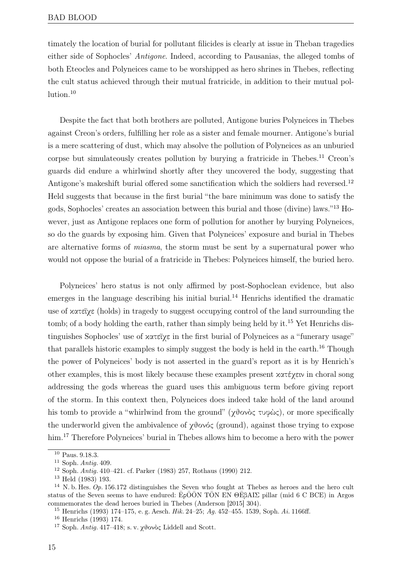timately the location of burial for pollutant filicides is clearly at issue in Theban tragedies either side of Sophocles' Antigone. Indeed, according to Pausanias, the alleged tombs of both Eteocles and Polyneices came to be worshipped as hero shrines in Thebes, reflecting the cult status achieved through their mutual fratricide, in addition to their mutual pollution.10

Despite the fact that both brothers are polluted, Antigone buries Polyneices in Thebes against Creon's orders, fulfilling her role as a sister and female mourner. Antigone's burial is a mere scattering of dust, which may absolve the pollution of Polyneices as an unburied corpse but simulateously creates pollution by burying a fratricide in Thebes.<sup>11</sup> Creon's guards did endure a whirlwind shortly after they uncovered the body, suggesting that Antigone's makeshift burial offered some sanctification which the soldiers had reversed.<sup>12</sup> Held suggests that because in the first burial "the bare minimum was done to satisfy the gods, Sophocles' creates an association between this burial and those (divine) laws." 13 However, just as Antigone replaces one form of pollution for another by burying Polyneices, so do the guards by exposing him. Given that Polyneices' exposure and burial in Thebes are alternative forms of miasma, the storm must be sent by a supernatural power who would not oppose the burial of a fratricide in Thebes: Polyneices himself, the buried hero.

Polyneices' hero status is not only affirmed by post-Sophoclean evidence, but also emerges in the language describing his initial burial.<sup>14</sup> Henrichs identified the dramatic use of κατεῖχε (holds) in tragedy to suggest occupying control of the land surrounding the tomb; of a body holding the earth, rather than simply being held by it.<sup>15</sup> Yet Henrichs distinguishes Sophocles' use of κατεῖχε in the first burial of Polyneices as a "funerary usage" that parallels historic examples to simply suggest the body is held in the earth.16 Though the power of Polyneices' body is not asserted in the guard's report as it is by Henrich's other examples, this is most likely because these examples present κατέχειν in choral song addressing the gods whereas the guard uses this ambiguous term before giving report of the storm. In this context then, Polyneices does indeed take hold of the land around his tomb to provide a "whirlwind from the ground" (χθονὸς τυφὼς), or more specifically the underworld given the ambivalence of χθονός (ground), against those trying to expose him.<sup>17</sup> Therefore Polyneices' burial in Thebes allows him to become a hero with the power

<sup>10</sup> Paus. 9.18.3.

 $11$  Soph. Antig. 409.

<sup>12</sup> Soph. Antig. 410–421. cf. Parker (1983) 257, Rothaus (1990) 212.

<sup>13</sup> Held (1983) 193.

 $14$  N. b. Hes.  $Op. 156.172$  distinguishes the Seven who fought at Thebes as heroes and the hero cult status of the Seven seems to have endured: EρOON TON EN ΘΕβΑΙΣ pillar (mid 6 C BCE) in Argos commemorates the dead heroes buried in Thebes (Anderson [2015] 304).

<sup>&</sup>lt;sup>15</sup> Henrichs (1993) 174–175, e. g. Aesch. Hik. 24–25; Aq. 452–455. 1539, Soph. Ai. 1166ff.

<sup>16</sup> Henrichs (1993) 174.

<sup>&</sup>lt;sup>17</sup> Soph. Antig. 417-418; s. v. χθονός Liddell and Scott.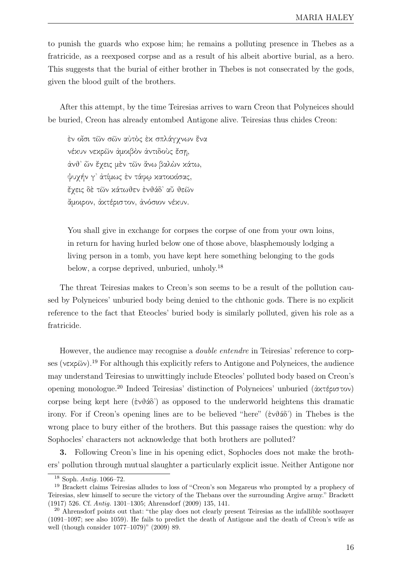to punish the guards who expose him; he remains a polluting presence in Thebes as a fratricide, as a reexposed corpse and as a result of his albeit abortive burial, as a hero. This suggests that the burial of either brother in Thebes is not consecrated by the gods, given the blood guilt of the brothers.

After this attempt, by the time Teiresias arrives to warn Creon that Polyneices should be buried, Creon has already entombed Antigone alive. Teiresias thus chides Creon:

ἐν οἷσι τῶν σῶν αὐτὸς ἐκ σπλάγχνων ἕνα νέκυν νεκρῶν ἀμοιβὸν ἀντιδοὺς ἔσῃ, ἀνθ᾿ ὧν ἔχεις μὲν τῶν ἄνω βαλὼν κάτω, ψυχήν γ᾿ ἀτίμως ἐν τάφῳ κατοικίσας, ἔχεις δὲ τῶν κάτωθεν ἐνθάδ᾿ αὖ θεῶν ἄμοιρον, ἀκτέριστον, ἀνόσιον νέκυν.

You shall give in exchange for corpses the corpse of one from your own loins, in return for having hurled below one of those above, blasphemously lodging a living person in a tomb, you have kept here something belonging to the gods below, a corpse deprived, unburied, unholy.18

The threat Teiresias makes to Creon's son seems to be a result of the pollution caused by Polyneices' unburied body being denied to the chthonic gods. There is no explicit reference to the fact that Eteocles' buried body is similarly polluted, given his role as a fratricide.

However, the audience may recognise a *double entendre* in Teiresias' reference to corpses (νεκρῶν).<sup>19</sup> For although this explicitly refers to Antigone and Polyneices, the audience may understand Teiresias to unwittingly include Eteocles' polluted body based on Creon's opening monologue.20 Indeed Teiresias' distinction of Polyneices' unburied (ἀκτέριστον) corpse being kept here (ἐνθάδ᾿) as opposed to the underworld heightens this dramatic irony. For if Creon's opening lines are to be believed "here" (ἐνθάδ᾿) in Thebes is the wrong place to bury either of the brothers. But this passage raises the question: why do Sophocles' characters not acknowledge that both brothers are polluted?

3. Following Creon's line in his opening edict, Sophocles does not make the brothers' pollution through mutual slaughter a particularly explicit issue. Neither Antigone nor

<sup>18</sup> Soph. Antig. 1066–72.

<sup>19</sup> Brackett claims Teiresias alludes to loss of "Creon's son Megareus who prompted by a prophecy of Teiresias, slew himself to secure the victory of the Thebans over the surrounding Argive army." Brackett (1917) 526. Cf. Antig. 1301–1305; Ahrensdorf (2009) 135, 141.

<sup>&</sup>lt;sup>20</sup> Ahrensdorf points out that: "the play does not clearly present Teiresias as the infallible soothsayer (1091–1097; see also 1059). He fails to predict the death of Antigone and the death of Creon's wife as well (though consider 1077–1079)" (2009) 89.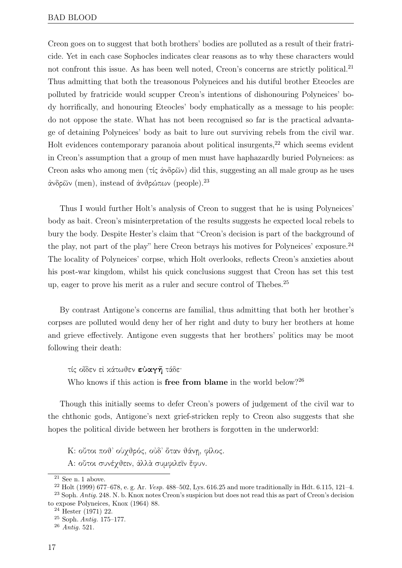Creon goes on to suggest that both brothers' bodies are polluted as a result of their fratricide. Yet in each case Sophocles indicates clear reasons as to why these characters would not confront this issue. As has been well noted, Creon's concerns are strictly political.<sup>21</sup> Thus admitting that both the treasonous Polyneices and his dutiful brother Eteocles are polluted by fratricide would scupper Creon's intentions of dishonouring Polyneices' body horrifically, and honouring Eteocles' body emphatically as a message to his people: do not oppose the state. What has not been recognised so far is the practical advantage of detaining Polyneices' body as bait to lure out surviving rebels from the civil war. Holt evidences contemporary paranoia about political insurgents,<sup>22</sup> which seems evident in Creon's assumption that a group of men must have haphazardly buried Polyneices: as Creon asks who among men (τίς ἀνδρῶν) did this, suggesting an all male group as he uses άνδρῶν (men), instead of άνθρώπων (people).<sup>23</sup>

Thus I would further Holt's analysis of Creon to suggest that he is using Polyneices' body as bait. Creon's misinterpretation of the results suggests he expected local rebels to bury the body. Despite Hester's claim that "Creon's decision is part of the background of the play, not part of the play" here Creon betrays his motives for Polyneices' exposure.<sup>24</sup> The locality of Polyneices' corpse, which Holt overlooks, reflects Creon's anxieties about his post-war kingdom, whilst his quick conclusions suggest that Creon has set this test up, eager to prove his merit as a ruler and secure control of Thebes.25

By contrast Antigone's concerns are familial, thus admitting that both her brother's corpses are polluted would deny her of her right and duty to bury her brothers at home and grieve effectively. Antigone even suggests that her brothers' politics may be moot following their death:

τίς οἶδεν εἰ κάτωθεν εὐαγῆ τάδε·

Who knows if this action is **free from blame** in the world below?<sup>26</sup>

Though this initially seems to defer Creon's powers of judgement of the civil war to the chthonic gods, Antigone's next grief-stricken reply to Creon also suggests that she hopes the political divide between her brothers is forgotten in the underworld:

K: οὔτοι ποθ᾿ οὑχθρός, οὐδ᾿ ὅταν θάνῃ, φίλος.

A: οὔτοι συνέχθειν, ἀλλὰ συμφιλεῖν ἔφυν.

 $^{21}$  See n. 1 above.

 $22$  Holt (1999) 677–678, e. g. Ar. *Vesp.* 488–502, Lys. 616.25 and more traditionally in Hdt. 6.115, 121–4.

<sup>&</sup>lt;sup>23</sup> Soph. Antig. 248. N. b. Knox notes Creon's suspicion but does not read this as part of Creon's decision to expose Polyneices, Knox (1964) 88.

 $24$  Hester (1971) 22.

 $25$  Soph. Antiq. 175–177.

<sup>26</sup> Antig. 521.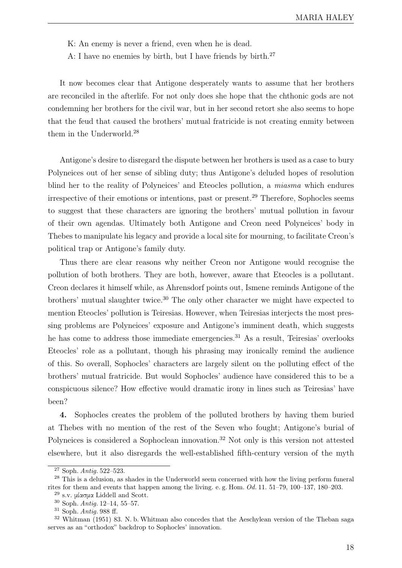K: An enemy is never a friend, even when he is dead.

A: I have no enemies by birth, but I have friends by birth.27

It now becomes clear that Antigone desperately wants to assume that her brothers are reconciled in the afterlife. For not only does she hope that the chthonic gods are not condemning her brothers for the civil war, but in her second retort she also seems to hope that the feud that caused the brothers' mutual fratricide is not creating enmity between them in the Underworld.28

Antigone's desire to disregard the dispute between her brothers is used as a case to bury Polyneices out of her sense of sibling duty; thus Antigone's deluded hopes of resolution blind her to the reality of Polyneices' and Eteocles pollution, a miasma which endures irrespective of their emotions or intentions, past or present.<sup>29</sup> Therefore, Sophocles seems to suggest that these characters are ignoring the brothers' mutual pollution in favour of their own agendas. Ultimately both Antigone and Creon need Polyneices' body in Thebes to manipulate his legacy and provide a local site for mourning, to facilitate Creon's political trap or Antigone's family duty.

Thus there are clear reasons why neither Creon nor Antigone would recognise the pollution of both brothers. They are both, however, aware that Eteocles is a pollutant. Creon declares it himself while, as Ahrensdorf points out, Ismene reminds Antigone of the brothers' mutual slaughter twice.30 The only other character we might have expected to mention Eteocles' pollution is Teiresias. However, when Teiresias interjects the most pressing problems are Polyneices' exposure and Antigone's imminent death, which suggests he has come to address those immediate emergencies.<sup>31</sup> As a result, Teiresias' overlooks Eteocles' role as a pollutant, though his phrasing may ironically remind the audience of this. So overall, Sophocles' characters are largely silent on the polluting effect of the brothers' mutual fratricide. But would Sophocles' audience have considered this to be a conspicuous silence? How effective would dramatic irony in lines such as Teiresias' have been?

4. Sophocles creates the problem of the polluted brothers by having them buried at Thebes with no mention of the rest of the Seven who fought; Antigone's burial of Polyneices is considered a Sophoclean innovation.<sup>32</sup> Not only is this version not attested elsewhere, but it also disregards the well-established fifth-century version of the myth

<sup>27</sup> Soph. Antig. 522–523.

<sup>&</sup>lt;sup>28</sup> This is a delusion, as shades in the Underworld seem concerned with how the living perform funeral rites for them and events that happen among the living. e. g. Hom. Od. 11. 51–79, 100–137, 180–203.

<sup>29</sup> s.v. μίασμα Liddell and Scott.

<sup>30</sup> Soph. Antig. 12–14, 55–57.

 $31$  Soph. Antia. 988 ff.

<sup>32</sup> Whitman (1951) 83. N. b. Whitman also concedes that the Aeschylean version of the Theban saga serves as an "orthodox" backdrop to Sophocles' innovation.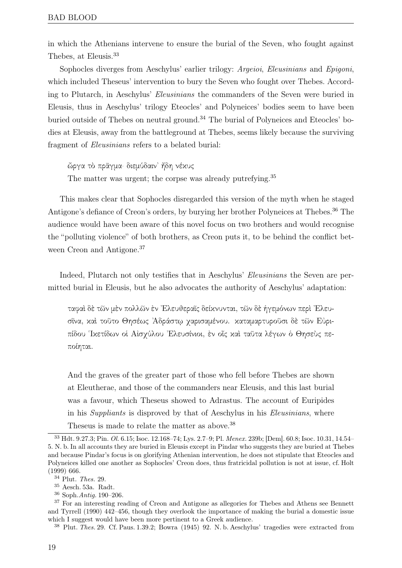in which the Athenians intervene to ensure the burial of the Seven, who fought against Thebes, at Eleusis.33

Sophocles diverges from Aeschylus' earlier trilogy: Argeioi, Eleusinians and Epigoni, which included Theseus' intervention to bury the Seven who fought over Thebes. According to Plutarch, in Aeschylus' Eleusinians the commanders of the Seven were buried in Eleusis, thus in Aeschylus' trilogy Eteocles' and Polyneices' bodies seem to have been buried outside of Thebes on neutral ground.<sup>34</sup> The burial of Polyneices and Eteocles' bodies at Eleusis, away from the battleground at Thebes, seems likely because the surviving fragment of Eleusinians refers to a belated burial:

ὤργα τὸ πρᾶγμα· διεμύδαιν᾿ ἤδη νέκυς

The matter was urgent; the corpse was already putrefying.<sup>35</sup>

This makes clear that Sophocles disregarded this version of the myth when he staged Antigone's defiance of Creon's orders, by burying her brother Polyneices at Thebes.<sup>36</sup> The audience would have been aware of this novel focus on two brothers and would recognise the "polluting violence" of both brothers, as Creon puts it, to be behind the conflict between Creon and Antigone.<sup>37</sup>

Indeed, Plutarch not only testifies that in Aeschylus' Eleusinians the Seven are permitted burial in Eleusis, but he also advocates the authority of Aeschylus' adaptation:

ταφαὶ δὲ τῶν μὲν πολλῶν ἐν ᾿Ελευθεραῖς δείκνυνται, τῶν δὲ ἡγεμόνων περὶ ᾿Ελευσῖνα, καὶ τοῦτο Θησέως ᾿Αδράστῳ χαρισαμένου. καταμαρτυροῦσι δὲ τῶν Εὐριπίδου ῾Ικετίδων οἱ Αἰσχύλου ᾿Ελευσίνιοι, ἐν οἷς καὶ ταῦτα λέγων ὁ Θησεὺς πεποίηται.

And the graves of the greater part of those who fell before Thebes are shown at Eleutherae, and those of the commanders near Eleusis, and this last burial was a favour, which Theseus showed to Adrastus. The account of Euripides in his Suppliants is disproved by that of Aeschylus in his Eleusinians, where Theseus is made to relate the matter as above.<sup>38</sup>

<sup>33</sup> Hdt. 9.27.3; Pin. Ol. 6.15; Isoc. 12.168–74; Lys. 2.7–9; Pl. Menex. 239b; [Dem]. 60.8; Isoc. 10.31, 14.54– 5. N. b. In all accounts they are buried in Eleusis except in Pindar who suggests they are buried at Thebes and because Pindar's focus is on glorifying Athenian intervention, he does not stipulate that Eteocles and Polyneices killed one another as Sophocles' Creon does, thus fratricidal pollution is not at issue, cf. Holt (1999) 666.

<sup>34</sup> Plut. Thes. 29.

<sup>35</sup> Aesch. 53a. Radt.

<sup>36</sup> Soph.Antig. 190–206.

<sup>&</sup>lt;sup>37</sup> For an interesting reading of Creon and Antigone as allegories for Thebes and Athens see Bennett and Tyrrell (1990) 442–456, though they overlook the importance of making the burial a domestic issue which I suggest would have been more pertinent to a Greek audience.

<sup>38</sup> Plut. Thes. 29. Cf. Paus. 1.39.2; Bowra (1945) 92. N. b. Aeschylus' tragedies were extracted from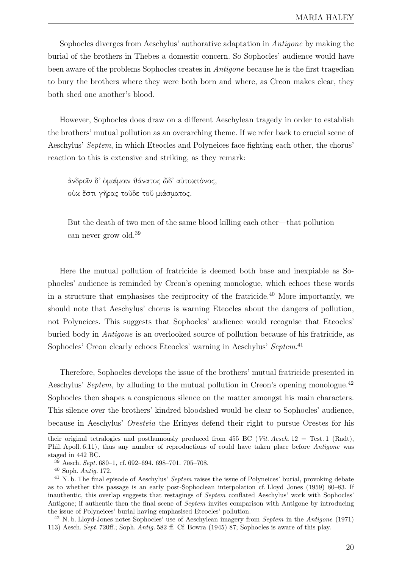Sophocles diverges from Aeschylus' authorative adaptation in Antigone by making the burial of the brothers in Thebes a domestic concern. So Sophocles' audience would have been aware of the problems Sophocles creates in Antigone because he is the first tragedian to bury the brothers where they were both born and where, as Creon makes clear, they both shed one another's blood.

However, Sophocles does draw on a different Aeschylean tragedy in order to establish the brothers' mutual pollution as an overarching theme. If we refer back to crucial scene of Aeschylus' Septem, in which Eteocles and Polyneices face fighting each other, the chorus' reaction to this is extensive and striking, as they remark:

ἀνδροῖν δ᾿ ὁμαίμοιν θάνατος ὧδ᾿ αὐτοκτόνος, οὐκ ἔστι γῆρας τοῦδε τοῦ μιάσματος.

But the death of two men of the same blood killing each other—that pollution can never grow old.39

Here the mutual pollution of fratricide is deemed both base and inexpiable as Sophocles' audience is reminded by Creon's opening monologue, which echoes these words in a structure that emphasises the reciprocity of the fratricide.<sup> $40$ </sup> More importantly, we should note that Aeschylus' chorus is warning Eteocles about the dangers of pollution, not Polyneices. This suggests that Sophocles' audience would recognise that Eteocles' buried body in Antigone is an overlooked source of pollution because of his fratricide, as Sophocles' Creon clearly echoes Eteocles' warning in Aeschylus' Septem.<sup>41</sup>

Therefore, Sophocles develops the issue of the brothers' mutual fratricide presented in Aeschylus' Septem, by alluding to the mutual pollution in Creon's opening monologue.<sup>42</sup> Sophocles then shapes a conspicuous silence on the matter amongst his main characters. This silence over the brothers' kindred bloodshed would be clear to Sophocles' audience, because in Aeschylus' Oresteia the Erinyes defend their right to pursue Orestes for his

their original tetralogies and posthumously produced from 455 BC (Vit. Aesch.  $12 = Test$ . 1 (Radt), Phil. Apoll. 6.11), thus any number of reproductions of could have taken place before Antigone was staged in 442 BC.

 $39$  Aesch. Sept. 680-1, cf. 692-694. 698-701. 705-708.

<sup>40</sup> Soph. Antig. 172.

<sup>&</sup>lt;sup>41</sup> N. b. The final episode of Aeschylus' Septem raises the issue of Polyneices' burial, provoking debate as to whether this passage is an early post-Sophoclean interpolation cf. Lloyd Jones (1959) 80–83. If inauthentic, this overlap suggests that restagings of Septem conflated Aeschylus' work with Sophocles' Antigone; if authentic then the final scene of Septem invites comparison with Antigone by introducing the issue of Polyneices' burial having emphasised Eteocles' pollution.

<sup>&</sup>lt;sup>42</sup> N. b. Lloyd-Jones notes Sophocles' use of Aeschylean imagery from *Septem* in the Antigone (1971) 113) Aesch. Sept. 720ff.; Soph. Antig. 582 ff. Cf. Bowra (1945) 87; Sophocles is aware of this play.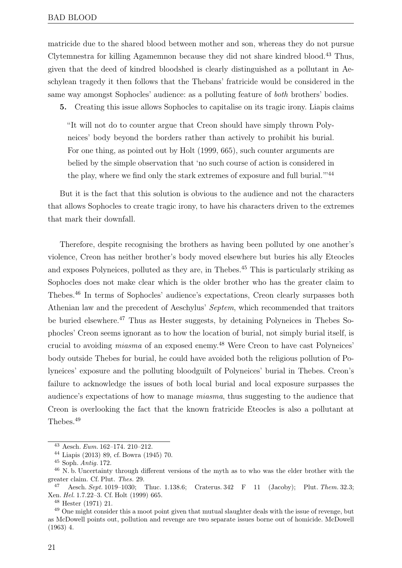matricide due to the shared blood between mother and son, whereas they do not pursue Clytemnestra for killing Agamemnon because they did not share kindred blood.43 Thus, given that the deed of kindred bloodshed is clearly distinguished as a pollutant in Aeschylean tragedy it then follows that the Thebans' fratricide would be considered in the same way amongst Sophocles' audience: as a polluting feature of both brothers' bodies.

5. Creating this issue allows Sophocles to capitalise on its tragic irony. Liapis claims

"It will not do to counter argue that Creon should have simply thrown Polyneices' body beyond the borders rather than actively to prohibit his burial. For one thing, as pointed out by Holt (1999, 665), such counter arguments are belied by the simple observation that 'no such course of action is considered in the play, where we find only the stark extremes of exposure and full burial."<sup>44</sup>

But it is the fact that this solution is obvious to the audience and not the characters that allows Sophocles to create tragic irony, to have his characters driven to the extremes that mark their downfall.

Therefore, despite recognising the brothers as having been polluted by one another's violence, Creon has neither brother's body moved elsewhere but buries his ally Eteocles and exposes Polyneices, polluted as they are, in Thebes.<sup>45</sup> This is particularly striking as Sophocles does not make clear which is the older brother who has the greater claim to Thebes.46 In terms of Sophocles' audience's expectations, Creon clearly surpasses both Athenian law and the precedent of Aeschylus' Septem, which recommended that traitors be buried elsewhere.47 Thus as Hester suggests, by detaining Polyneices in Thebes Sophocles' Creon seems ignorant as to how the location of burial, not simply burial itself, is crucial to avoiding miasma of an exposed enemy.48 Were Creon to have cast Polyneices' body outside Thebes for burial, he could have avoided both the religious pollution of Polyneices' exposure and the polluting bloodguilt of Polyneices' burial in Thebes. Creon's failure to acknowledge the issues of both local burial and local exposure surpasses the audience's expectations of how to manage miasma, thus suggesting to the audience that Creon is overlooking the fact that the known fratricide Eteocles is also a pollutant at Thebes.49

<sup>43</sup> Aesch. Eum. 162–174. 210–212.

<sup>44</sup> Liapis (2013) 89, cf. Bowra (1945) 70.

<sup>45</sup> Soph. Antig. 172.

<sup>46</sup> N. b. Uncertainty through different versions of the myth as to who was the elder brother with the greater claim. Cf. Plut. Thes. 29.

<sup>47</sup> Aesch. Sept. 1019–1030; Thuc. 1.138.6; Craterus. 342 F 11 (Jacoby); Plut. Them. 32.3; Xen. Hel. 1.7.22–3. Cf. Holt (1999) 665.

<sup>48</sup> Hester (1971) 21.

<sup>&</sup>lt;sup>49</sup> One might consider this a moot point given that mutual slaughter deals with the issue of revenge, but as McDowell points out, pollution and revenge are two separate issues borne out of homicide. McDowell (1963) 4.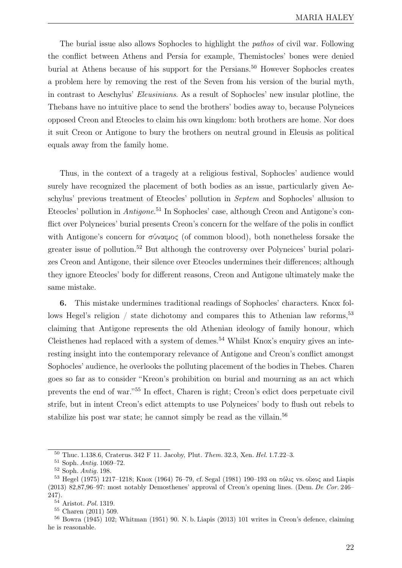The burial issue also allows Sophocles to highlight the *pathos* of civil war. Following the conflict between Athens and Persia for example, Themistocles' bones were denied burial at Athens because of his support for the Persians.<sup>50</sup> However Sophocles creates a problem here by removing the rest of the Seven from his version of the burial myth, in contrast to Aeschylus' Eleusinians. As a result of Sophocles' new insular plotline, the Thebans have no intuitive place to send the brothers' bodies away to, because Polyneices opposed Creon and Eteocles to claim his own kingdom: both brothers are home. Nor does it suit Creon or Antigone to bury the brothers on neutral ground in Eleusis as political equals away from the family home.

Thus, in the context of a tragedy at a religious festival, Sophocles' audience would surely have recognized the placement of both bodies as an issue, particularly given Aeschylus' previous treatment of Eteocles' pollution in Septem and Sophocles' allusion to Eteocles' pollution in Antigone.<sup>51</sup> In Sophocles' case, although Creon and Antigone's conflict over Polyneices' burial presents Creon's concern for the welfare of the polis in conflict with Antigone's concern for σύναιμος (of common blood), both nonetheless forsake the greater issue of pollution.52 But although the controversy over Polyneices' burial polarizes Creon and Antigone, their silence over Eteocles undermines their differences; although they ignore Eteocles' body for different reasons, Creon and Antigone ultimately make the same mistake.

6. This mistake undermines traditional readings of Sophocles' characters. Knox follows Hegel's religion  $/$  state dichotomy and compares this to Athenian law reforms,  $53$ claiming that Antigone represents the old Athenian ideology of family honour, which Cleisthenes had replaced with a system of demes.<sup>54</sup> Whilst Knox's enquiry gives an interesting insight into the contemporary relevance of Antigone and Creon's conflict amongst Sophocles' audience, he overlooks the polluting placement of the bodies in Thebes. Charen goes so far as to consider "Kreon's prohibition on burial and mourning as an act which prevents the end of war."<sup>55</sup> In effect, Charen is right; Creon's edict does perpetuate civil strife, but in intent Creon's edict attempts to use Polyneices' body to flush out rebels to stabilize his post war state; he cannot simply be read as the villain.<sup>56</sup>

<sup>50</sup> Thuc. 1.138.6, Craterus. 342 F 11. Jacoby, Plut. Them. 32.3, Xen. Hel. 1.7.22–3.

<sup>51</sup> Soph. Antig. 1069–72.

<sup>52</sup> Soph. Antig. 198.

<sup>53</sup> Hegel (1975) 1217–1218; Knox (1964) 76–79, cf. Segal (1981) 190–193 on πόλις vs. οἶκος and Liapis (2013) 82,87,96–97: most notably Demosthenes' approval of Creon's opening lines. (Dem. De Cor. 246– 247).

 $^{54}$  Aristot. Pol. 1319.

<sup>55</sup> Charen (2011) 509.

<sup>56</sup> Bowra (1945) 102; Whitman (1951) 90. N. b. Liapis (2013) 101 writes in Creon's defence, claiming he is reasonable.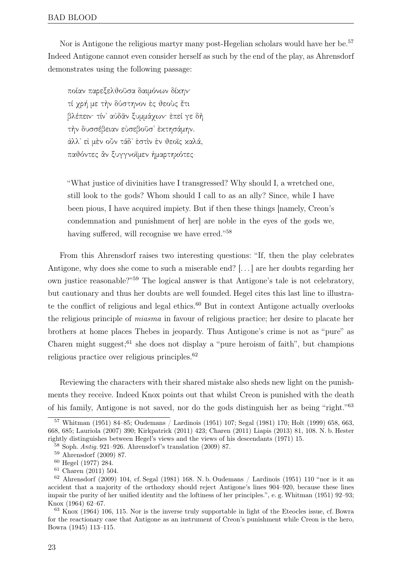Nor is Antigone the religious martyr many post-Hegelian scholars would have her be.<sup>57</sup> Indeed Antigone cannot even consider herself as such by the end of the play, as Ahrensdorf demonstrates using the following passage:

ποίαν παρεξελθοῦσα δαιμόνων δίκην· τί χρή με τὴν δύστηνον ἐς θεοὺς ἔτι βλέπειν· τίν᾿ αὐδᾶν ξυμμάχων· ἐπεί γε δὴ τὴν δυσσέβειαν εὐσεβοῦσ᾿ ἐκτησάμην. ἀλλ᾿ εἰ μὲν οὖν τάδ᾿ ἐστὶν ἐν θεοῖς καλά, παθόντες ἂν ξυγγνοῖμεν ἡμαρτηκότες·

"What justice of divinities have I transgressed? Why should I, a wretched one, still look to the gods? Whom should I call to as an ally? Since, while I have been pious, I have acquired impiety. But if then these things [namely, Creon's condemnation and punishment of her] are noble in the eyes of the gods we, having suffered, will recognise we have erred."<sup>58</sup>

From this Ahrensdorf raises two interesting questions: "If, then the play celebrates Antigone, why does she come to such a miserable end? [. . . ] are her doubts regarding her own justice reasonable?"<sup>59</sup> The logical answer is that Antigone's tale is not celebratory, but cautionary and thus her doubts are well founded. Hegel cites this last line to illustrate the conflict of religious and legal ethics.<sup>60</sup> But in context Antigone actually overlooks the religious principle of miasma in favour of religious practice; her desire to placate her brothers at home places Thebes in jeopardy. Thus Antigone's crime is not as "pure" as Charen might suggest;<sup>61</sup> she does not display a "pure heroism of faith", but champions religious practice over religious principles.62

Reviewing the characters with their shared mistake also sheds new light on the punishments they receive. Indeed Knox points out that whilst Creon is punished with the death of his family, Antigone is not saved, nor do the gods distinguish her as being "right." 63

<sup>61</sup> Charen (2011) 504.

<sup>57</sup> Whitman (1951) 84–85; Oudemans / Lardinois (1951) 107; Segal (1981) 170; Holt (1999) 658, 663, 668, 685; Lauriola (2007) 390; Kirkpatrick (2011) 423; Charen (2011) Liapis (2013) 81, 108. N. b. Hester rightly distinguishes between Hegel's views and the views of his descendants (1971) 15.

<sup>58</sup> Soph. Antig. 921–926. Ahrensdorf's translation (2009) 87.

<sup>59</sup> Ahrensdorf (2009) 87.

<sup>60</sup> Hegel (1977) 284.

 $62$  Ahrensdorf (2009) 104, cf. Segal (1981) 168. N. b. Oudemans / Lardinois (1951) 110 "nor is it an accident that a majority of the orthodoxy should reject Antigone's lines 904–920, because these lines impair the purity of her unified identity and the loftiness of her principles.", e. g. Whitman (1951) 92–93; Knox (1964) 62–67.

<sup>63</sup> Knox (1964) 106, 115. Nor is the inverse truly supportable in light of the Eteocles issue, cf. Bowra for the reactionary case that Antigone as an instrument of Creon's punishment while Creon is the hero, Bowra (1945) 113–115.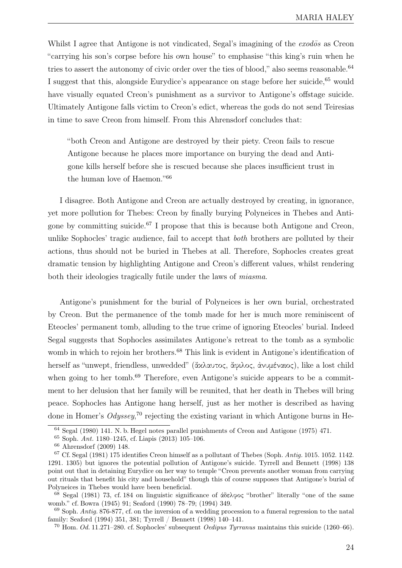Whilst I agree that Antigone is not vindicated, Segal's imagining of the  $exod\bar{o}s$  as Creon "carrying his son's corpse before his own house" to emphasise "this king's ruin when he tries to assert the autonomy of civic order over the ties of blood," also seems reasonable.<sup>64</sup> I suggest that this, alongside Eurydice's appearance on stage before her suicide,<sup>65</sup> would have visually equated Creon's punishment as a survivor to Antigone's offstage suicide. Ultimately Antigone falls victim to Creon's edict, whereas the gods do not send Teiresias in time to save Creon from himself. From this Ahrensdorf concludes that:

"both Creon and Antigone are destroyed by their piety. Creon fails to rescue Antigone because he places more importance on burying the dead and Antigone kills herself before she is rescued because she places insufficient trust in the human love of Haemon."  $66$ 

I disagree. Both Antigone and Creon are actually destroyed by creating, in ignorance, yet more pollution for Thebes: Creon by finally burying Polyneices in Thebes and Antigone by committing suicide.<sup>67</sup> I propose that this is because both Antigone and Creon, unlike Sophocles' tragic audience, fail to accept that both brothers are polluted by their actions, thus should not be buried in Thebes at all. Therefore, Sophocles creates great dramatic tension by highlighting Antigone and Creon's different values, whilst rendering both their ideologies tragically futile under the laws of *miasma*.

Antigone's punishment for the burial of Polyneices is her own burial, orchestrated by Creon. But the permanence of the tomb made for her is much more reminiscent of Eteocles' permanent tomb, alluding to the true crime of ignoring Eteocles' burial. Indeed Segal suggests that Sophocles assimilates Antigone's retreat to the tomb as a symbolic womb in which to rejoin her brothers.<sup>68</sup> This link is evident in Antigone's identification of herself as "unwept, friendless, unwedded" (ἄκλαυτος, ἄφιλος, ἀνυμέναιος), like a lost child when going to her tomb.<sup>69</sup> Therefore, even Antigone's suicide appears to be a commitment to her delusion that her family will be reunited, that her death in Thebes will bring peace. Sophocles has Antigone hang herself, just as her mother is described as having done in Homer's  $Odyssey$ <sup>70</sup> rejecting the existing variant in which Antigone burns in He-

<sup>64</sup> Segal (1980) 141. N. b. Hegel notes parallel punishments of Creon and Antigone (1975) 471.

<sup>65</sup> Soph. Ant. 1180–1245, cf. Liapis (2013) 105–106.

<sup>66</sup> Ahrensdorf (2009) 148.

 $67$  Cf. Segal (1981) 175 identifies Creon himself as a pollutant of Thebes (Soph. Antig. 1015. 1052. 1142. 1291. 1305) but ignores the potential pollution of Antigone's suicide. Tyrrell and Bennett (1998) 138 point out that in detaining Eurydice on her way to temple "Creon prevents another woman from carrying out rituals that benefit his city and household" though this of course supposes that Antigone's burial of Polyneices in Thebes would have been beneficial.

<sup>68</sup> Segal (1981) 73, cf. 184 on linguistic significance of άδελφος "brother" literally "one of the same womb." cf. Bowra (1945) 91; Seaford (1990) 78–79; (1994) 349.

 $69$  Soph. Antig. 876-877, cf. on the inversion of a wedding procession to a funeral regression to the natal family: Seaford (1994) 351, 381; Tyrrell / Bennett (1998) 140–141.

<sup>&</sup>lt;sup>70</sup> Hom. Od. 11.271–280. cf. Sophocles' subsequent Oedipus Tyrranus maintains this suicide (1260–66).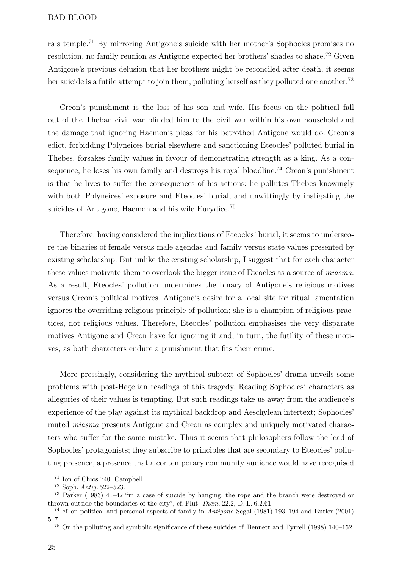ra's temple.71 By mirroring Antigone's suicide with her mother's Sophocles promises no resolution, no family reunion as Antigone expected her brothers' shades to share.72 Given Antigone's previous delusion that her brothers might be reconciled after death, it seems her suicide is a futile attempt to join them, polluting herself as they polluted one another.<sup>73</sup>

Creon's punishment is the loss of his son and wife. His focus on the political fall out of the Theban civil war blinded him to the civil war within his own household and the damage that ignoring Haemon's pleas for his betrothed Antigone would do. Creon's edict, forbidding Polyneices burial elsewhere and sanctioning Eteocles' polluted burial in Thebes, forsakes family values in favour of demonstrating strength as a king. As a consequence, he loses his own family and destroys his royal bloodline.<sup>74</sup> Creon's punishment is that he lives to suffer the consequences of his actions; he pollutes Thebes knowingly with both Polyneices' exposure and Eteocles' burial, and unwittingly by instigating the suicides of Antigone, Haemon and his wife Eurydice.<sup>75</sup>

Therefore, having considered the implications of Eteocles' burial, it seems to underscore the binaries of female versus male agendas and family versus state values presented by existing scholarship. But unlike the existing scholarship, I suggest that for each character these values motivate them to overlook the bigger issue of Eteocles as a source of miasma. As a result, Eteocles' pollution undermines the binary of Antigone's religious motives versus Creon's political motives. Antigone's desire for a local site for ritual lamentation ignores the overriding religious principle of pollution; she is a champion of religious practices, not religious values. Therefore, Eteocles' pollution emphasises the very disparate motives Antigone and Creon have for ignoring it and, in turn, the futility of these motives, as both characters endure a punishment that fits their crime.

More pressingly, considering the mythical subtext of Sophocles' drama unveils some problems with post-Hegelian readings of this tragedy. Reading Sophocles' characters as allegories of their values is tempting. But such readings take us away from the audience's experience of the play against its mythical backdrop and Aeschylean intertext; Sophocles' muted miasma presents Antigone and Creon as complex and uniquely motivated characters who suffer for the same mistake. Thus it seems that philosophers follow the lead of Sophocles' protagonists; they subscribe to principles that are secondary to Eteocles' polluting presence, a presence that a contemporary community audience would have recognised

<sup>71</sup> Ion of Chios 740. Campbell.

<sup>72</sup> Soph. Antig. 522–523.

<sup>73</sup> Parker (1983) 41–42 "in a case of suicide by hanging, the rope and the branch were destroyed or thrown outside the boundaries of the city", cf. Plut. Them. 22.2, D. L. 6.2.61.

<sup>74</sup> cf. on political and personal aspects of family in Antigone Segal (1981) 193–194 and Butler (2001) 5–7

<sup>75</sup> On the polluting and symbolic significance of these suicides cf. Bennett and Tyrrell (1998) 140–152.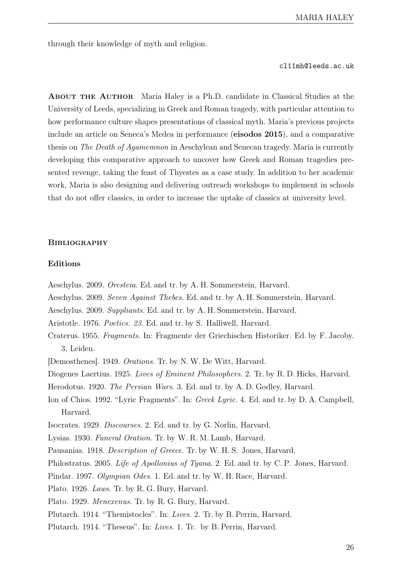through their knowledge of myth and religion.

cl11mh@leeds.ac.uk

About the Author Maria Haley is a Ph.D. candidate in Classical Studies at the University of Leeds, specializing in Greek and Roman tragedy, with particular attention to how performance culture shapes presentations of classical myth. Maria's previous projects include an article on Seneca's Medea in performance (eisodos 2015), and a comparative thesis on The Death of Agamemnon in Aeschylean and Senecan tragedy. Maria is currently developing this comparative approach to uncover how Greek and Roman tragedies presented revenge, taking the feast of Thyestes as a case study. In addition to her academic work, Maria is also designing and delivering outreach workshops to implement in schools that do not offer classics, in order to increase the uptake of classics at university level.

## **BIBLIOGRAPHY**

## Editions

- Aeschylus. 2009. Oresteia. Ed. and tr. by A. H. Sommerstein, Harvard.
- Aeschylus. 2009. Seven Against Thebes. Ed. and tr. by A. H. Sommerstein, Harvard.
- Aeschylus. 2009. Suppliants. Ed. and tr. by A. H. Sommerstein, Harvard.
- Aristotle. 1976. Poetics. 23. Ed. and tr. by S. Halliwell, Harvard.
- Craterus. 1955. Fragments. In: Fragmente der Griechischen Historiker. Ed. by F. Jacoby. 3, Leiden.
- [Demosthenes]. 1949. Orations. Tr. by N. W. De Witt, Harvard.
- Diogenes Laertius. 1925. Lives of Eminent Philosophers. 2. Tr. by R. D. Hicks, Harvard.
- Herodotus. 1920. The Persian Wars. 3. Ed. and tr. by A. D. Godley, Harvard.
- Ion of Chios. 1992. "Lyric Fragments". In: Greek Lyric. 4. Ed. and tr. by D. A. Campbell, Harvard.
- Isocrates. 1929. Discourses. 2. Ed. and tr. by G. Norlin, Harvard.
- Lysias. 1930. Funeral Oration. Tr. by W. R. M. Lamb, Harvard.
- Pausanias. 1918. Description of Greece. Tr. by W. H. S. Jones, Harvard.
- Philostratus. 2005. Life of Apollonius of Tyana. 2. Ed. and tr. by C. P. Jones, Harvard.
- Pindar. 1997. Olympian Odes. 1. Ed. and tr. by W. H. Race, Harvard.
- Plato. 1926. Laws. Tr. by R. G. Bury, Harvard.
- Plato. 1929. Menexenus. Tr. by R. G. Bury, Harvard.
- Plutarch. 1914. "Themistocles". In: Lives. 2. Tr. by B. Perrin, Harvard.
- Plutarch. 1914. "Theseus". In: Lives. 1. Tr. by B. Perrin, Harvard.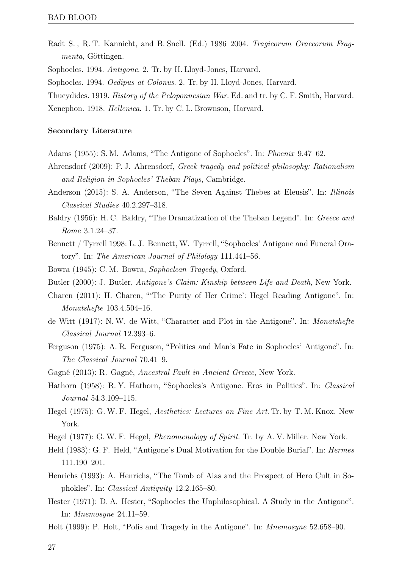Radt S. , R. T. Kannicht, and B. Snell. (Ed.) 1986–2004. Tragicorum Graecorum Fragmenta, Göttingen.

Sophocles. 1994. Antigone. 2. Tr. by H. Lloyd-Jones, Harvard.

Sophocles. 1994. Oedipus at Colonus. 2. Tr. by H. Lloyd-Jones, Harvard.

Thucydides. 1919. History of the Peloponnesian War. Ed. and tr. by C. F. Smith, Harvard.

## Secondary Literature

- Adams (1955): S. M. Adams, "The Antigone of Sophocles". In: Phoenix 9.47–62.
- Ahrensdorf (2009): P. J. Ahrensdorf, Greek tragedy and political philosophy: Rationalism and Religion in Sophocles' Theban Plays, Cambridge.
- Anderson (2015): S. A. Anderson, "The Seven Against Thebes at Eleusis". In: Illinois Classical Studies 40.2.297–318.
- Baldry (1956): H. C. Baldry, "The Dramatization of the Theban Legend". In: Greece and Rome 3.1.24–37.
- Bennett / Tyrrell 1998: L. J. Bennett, W. Tyrrell, "Sophocles' Antigone and Funeral Oratory". In: The American Journal of Philology 111.441–56.
- Bowra (1945): C. M. Bowra, Sophoclean Tragedy, Oxford.
- Butler (2000): J. Butler, Antigone's Claim: Kinship between Life and Death, New York.
- Charen (2011): H. Charen, "'The Purity of Her Crime': Hegel Reading Antigone". In: Monatshefte 103.4.504–16.
- de Witt (1917): N. W. de Witt, "Character and Plot in the Antigone". In: Monatshefte Classical Journal 12.393–6.
- Ferguson (1975): A. R. Ferguson, "Politics and Man's Fate in Sophocles' Antigone". In: The Classical Journal 70.41–9.
- Gagné (2013): R. Gagné, Ancestral Fault in Ancient Greece, New York.
- Hathorn (1958): R. Y. Hathorn, "Sophocles's Antigone. Eros in Politics". In: Classical Journal 54.3.109–115.
- Hegel (1975): G. W. F. Hegel, Aesthetics: Lectures on Fine Art. Tr. by T. M. Knox. New York.
- Hegel (1977): G. W. F. Hegel, *Phenomenology of Spirit*. Tr. by A. V. Miller. New York.
- Held (1983): G. F. Held, "Antigone's Dual Motivation for the Double Burial". In: Hermes 111.190–201.
- Henrichs (1993): A. Henrichs, "The Tomb of Aias and the Prospect of Hero Cult in Sophokles". In: Classical Antiquity 12.2.165–80.
- Hester (1971): D. A. Hester, "Sophocles the Unphilosophical. A Study in the Antigone". In: Mnemosyne 24.11–59.
- Holt (1999): P. Holt, "Polis and Tragedy in the Antigone". In: Mnemosyne 52.658–90.

Xenephon. 1918. Hellenica. 1. Tr. by C. L. Brownson, Harvard.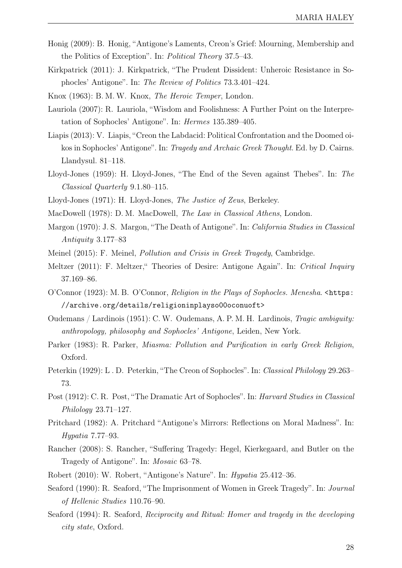- Honig (2009): B. Honig, "Antigone's Laments, Creon's Grief: Mourning, Membership and the Politics of Exception". In: Political Theory 37.5–43.
- Kirkpatrick (2011): J. Kirkpatrick, "The Prudent Dissident: Unheroic Resistance in Sophocles' Antigone". In: The Review of Politics 73.3.401–424.
- Knox (1963): B. M. W. Knox, The Heroic Temper, London.
- Lauriola (2007): R. Lauriola, "Wisdom and Foolishness: A Further Point on the Interpretation of Sophocles' Antigone". In: Hermes 135.389–405.
- Liapis (2013): V. Liapis, "Creon the Labdacid: Political Confrontation and the Doomed oikos in Sophocles' Antigone". In: Tragedy and Archaic Greek Thought. Ed. by D. Cairns. Llandysul. 81–118.
- Lloyd-Jones (1959): H. Lloyd-Jones, "The End of the Seven against Thebes". In: The Classical Quarterly 9.1.80–115.
- Lloyd-Jones (1971): H. Lloyd-Jones, The Justice of Zeus, Berkeley.
- MacDowell (1978): D. M. MacDowell, The Law in Classical Athens, London.
- Margon (1970): J. S. Margon, "The Death of Antigone". In: California Studies in Classical Antiquity 3.177–83
- Meinel (2015): F. Meinel, Pollution and Crisis in Greek Tragedy, Cambridge.
- Meltzer (2011): F. Meltzer," Theories of Desire: Antigone Again". In: Critical Inquiry 37.169–86.
- O'Connor (1923): M. B. O'Connor, Religion in the Plays of Sophocles. Menesha. [<https:](<https://archive.org/details/religioninplayso00oconuoft>) [//archive.org/details/religioninplayso00oconuoft>](<https://archive.org/details/religioninplayso00oconuoft>)
- Oudemans / Lardinois (1951): C. W. Oudemans, A. P. M. H. Lardinois, Tragic ambiguity: anthropology, philosophy and Sophocles' Antigone, Leiden, New York.
- Parker (1983): R. Parker, Miasma: Pollution and Purification in early Greek Religion, Oxford.
- Peterkin (1929): L . D. Peterkin, "The Creon of Sophocles". In: Classical Philology 29.263– 73.
- Post (1912): C. R. Post, "The Dramatic Art of Sophocles". In: Harvard Studies in Classical Philology 23.71–127.
- Pritchard (1982): A. Pritchard "Antigone's Mirrors: Reflections on Moral Madness". In: Hypatia 7.77–93.
- Rancher (2008): S. Rancher, "Suffering Tragedy: Hegel, Kierkegaard, and Butler on the Tragedy of Antigone". In: Mosaic 63–78.
- Robert (2010): W. Robert, "Antigone's Nature". In: Hypatia 25.412–36.
- Seaford (1990): R. Seaford, "The Imprisonment of Women in Greek Tragedy". In: Journal of Hellenic Studies 110.76–90.
- Seaford (1994): R. Seaford, Reciprocity and Ritual: Homer and tragedy in the developing city state, Oxford.